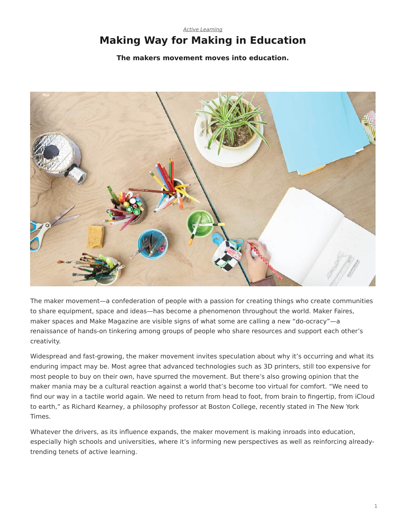#### *[Active Learning](https://www.steelcase.com/eu-en/research/topics/active-learning/)* **Making Way for Making in Education**

**The makers movement moves into education.**



The maker movement—a confederation of people with a passion for creating things who create communities to share equipment, space and ideas—has become a phenomenon throughout the world. Maker Faires, maker spaces and Make Magazine are visible signs of what some are calling a new "do-ocracy"—a renaissance of hands-on tinkering among groups of people who share resources and support each other's creativity.

Widespread and fast-growing, the maker movement invites speculation about why it's occurring and what its enduring impact may be. Most agree that advanced technologies such as 3D printers, still too expensive for most people to buy on their own, have spurred the movement. But there's also growing opinion that the maker mania may be a cultural reaction against a world that's become too virtual for comfort. "We need to find our way in a tactile world again. We need to return from head to foot, from brain to fingertip, from iCloud to earth," as Richard Kearney, a philosophy professor at Boston College, recently stated in The New York Times.

Whatever the drivers, as its influence expands, the maker movement is making inroads into education, especially high schools and universities, where it's informing new perspectives as well as reinforcing alreadytrending tenets of active learning.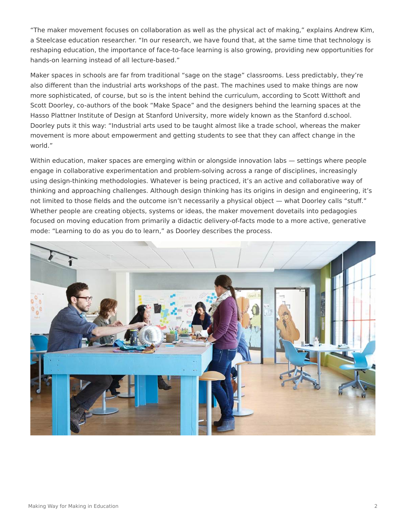"The maker movement focuses on collaboration as well as the physical act of making," explains Andrew Kim, a Steelcase education researcher. "In our research, we have found that, at the same time that technology is reshaping education, the importance of face-to-face learning is also growing, providing new opportunities for hands-on learning instead of all lecture-based."

Maker spaces in schools are far from traditional "sage on the stage" classrooms. Less predictably, they're also different than the industrial arts workshops of the past. The machines used to make things are now more sophisticated, of course, but so is the intent behind the curriculum, according to Scott Witthoft and Scott Doorley, co-authors of the book "Make Space" and the designers behind the learning spaces at the Hasso Plattner Institute of Design at Stanford University, more widely known as the Stanford d.school. Doorley puts it this way: "Industrial arts used to be taught almost like a trade school, whereas the maker movement is more about empowerment and getting students to see that they can affect change in the world."

Within education, maker spaces are emerging within or alongside innovation labs — settings where people engage in collaborative experimentation and problem-solving across a range of disciplines, increasingly using design-thinking methodologies. Whatever is being practiced, it's an active and collaborative way of thinking and approaching challenges. Although design thinking has its origins in design and engineering, it's not limited to those fields and the outcome isn't necessarily a physical object — what Doorley calls "stuff." Whether people are creating objects, systems or ideas, the maker movement dovetails into pedagogies focused on moving education from primarily a didactic delivery-of-facts mode to a more active, generative mode: "Learning to do as you do to learn," as Doorley describes the process.

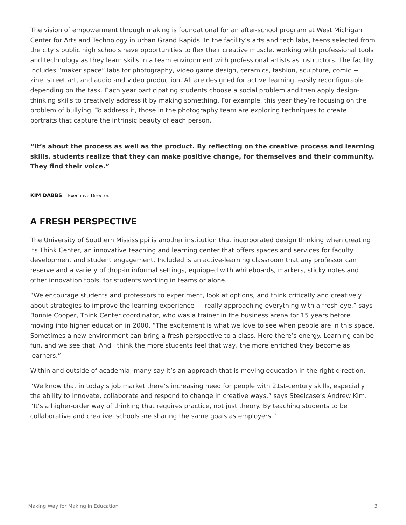The vision of empowerment through making is foundational for an after-school program at West Michigan Center for Arts and Technology in urban Grand Rapids. In the facility's arts and tech labs, teens selected from the city's public high schools have opportunities to flex their creative muscle, working with professional tools and technology as they learn skills in a team environment with professional artists as instructors. The facility includes "maker space" labs for photography, video game design, ceramics, fashion, sculpture, comic + zine, street art, and audio and video production. All are designed for active learning, easily reconfigurable depending on the task. Each year participating students choose a social problem and then apply designthinking skills to creatively address it by making something. For example, this year they're focusing on the problem of bullying. To address it, those in the photography team are exploring techniques to create portraits that capture the intrinsic beauty of each person.

**"It's about the process as well as the product. By reflecting on the creative process and learning skills, students realize that they can make positive change, for themselves and their community. They find their voice."**

**KIM DABBS** | Executive Director.

### **A FRESH PERSPECTIVE**

The University of Southern Mississippi is another institution that incorporated design thinking when creating its Think Center, an innovative teaching and learning center that offers spaces and services for faculty development and student engagement. Included is an active-learning classroom that any professor can reserve and a variety of drop-in informal settings, equipped with whiteboards, markers, sticky notes and other innovation tools, for students working in teams or alone.

"We encourage students and professors to experiment, look at options, and think critically and creatively about strategies to improve the learning experience — really approaching everything with a fresh eye," says Bonnie Cooper, Think Center coordinator, who was a trainer in the business arena for 15 years before moving into higher education in 2000. "The excitement is what we love to see when people are in this space. Sometimes a new environment can bring a fresh perspective to a class. Here there's energy. Learning can be fun, and we see that. And I think the more students feel that way, the more enriched they become as learners."

Within and outside of academia, many say it's an approach that is moving education in the right direction.

"We know that in today's job market there's increasing need for people with 21st-century skills, especially the ability to innovate, collaborate and respond to change in creative ways," says Steelcase's Andrew Kim. "It's a higher-order way of thinking that requires practice, not just theory. By teaching students to be collaborative and creative, schools are sharing the same goals as employers."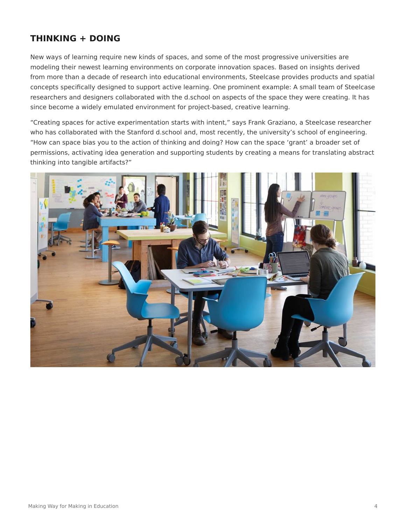# **THINKING + DOING**

New ways of learning require new kinds of spaces, and some of the most progressive universities are modeling their newest learning environments on corporate innovation spaces. Based on insights derived from more than a decade of research into educational environments, Steelcase provides products and spatial concepts specifically designed to support active learning. One prominent example: A small team of Steelcase researchers and designers collaborated with the d.school on aspects of the space they were creating. It has since become a widely emulated environment for project-based, creative learning.

"Creating spaces for active experimentation starts with intent," says Frank Graziano, a Steelcase researcher who has collaborated with the Stanford d.school and, most recently, the university's school of engineering. "How can space bias you to the action of thinking and doing? How can the space 'grant' a broader set of permissions, activating idea generation and supporting students by creating a means for translating abstract thinking into tangible artifacts?"

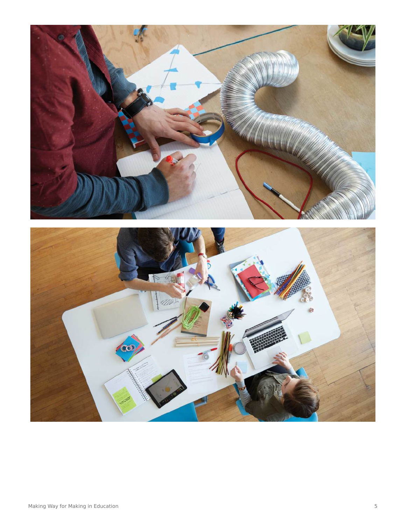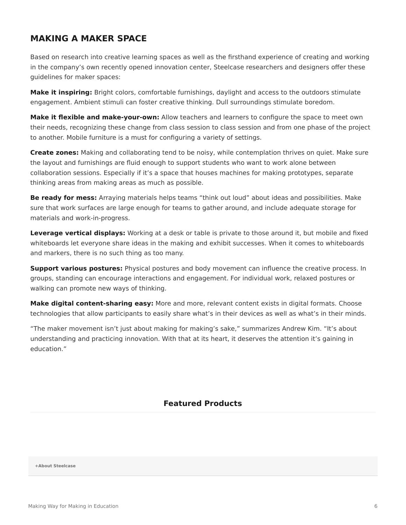## **MAKING A MAKER SPACE**

Based on research into creative learning spaces as well as the firsthand experience of creating and working in the company's own recently opened innovation center, Steelcase researchers and designers offer these guidelines for maker spaces:

**Make it inspiring:** Bright colors, comfortable furnishings, daylight and access to the outdoors stimulate engagement. Ambient stimuli can foster creative thinking. Dull surroundings stimulate boredom.

**Make it flexible and make-your-own:** Allow teachers and learners to configure the space to meet own their needs, recognizing these change from class session to class session and from one phase of the project to another. Mobile furniture is a must for configuring a variety of settings.

**Create zones:** Making and collaborating tend to be noisy, while contemplation thrives on quiet. Make sure the layout and furnishings are fluid enough to support students who want to work alone between collaboration sessions. Especially if it's a space that houses machines for making prototypes, separate thinking areas from making areas as much as possible.

**Be ready for mess:** Arraying materials helps teams "think out loud" about ideas and possibilities. Make sure that work surfaces are large enough for teams to gather around, and include adequate storage for materials and work-in-progress.

**Leverage vertical displays:** Working at a desk or table is private to those around it, but mobile and fixed whiteboards let everyone share ideas in the making and exhibit successes. When it comes to whiteboards and markers, there is no such thing as too many.

**Support various postures:** Physical postures and body movement can influence the creative process. In groups, standing can encourage interactions and engagement. For individual work, relaxed postures or walking can promote new ways of thinking.

**Make digital content-sharing easy:** More and more, relevant content exists in digital formats. Choose technologies that allow participants to easily share what's in their devices as well as what's in their minds.

"The maker movement isn't just about making for making's sake," summarizes Andrew Kim. "It's about understanding and practicing innovation. With that at its heart, it deserves the attention it's gaining in education."

#### **Featured Products**

**[+About Steelcase](https://www.steelcase.com/eu-en/about/steelcase/our-company/)**